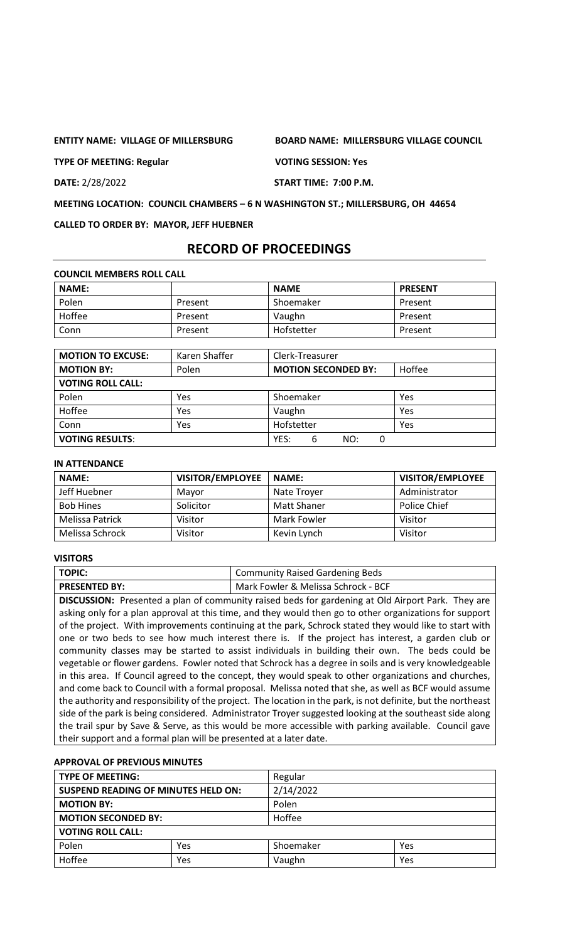**TYPE OF MEETING: Regular VOTING SESSION: Yes**

**ENTITY NAME: VILLAGE OF MILLERSBURG BOARD NAME: MILLERSBURG VILLAGE COUNCIL**

**DATE:** 2/28/2022 **START TIME: 7:00 P.M.**

**MEETING LOCATION: COUNCIL CHAMBERS – 6 N WASHINGTON ST.; MILLERSBURG, OH 44654**

**CALLED TO ORDER BY: MAYOR, JEFF HUEBNER**

# **RECORD OF PROCEEDINGS**

|  | <b>COUNCIL MEMBERS ROLL CALL</b> |  |
|--|----------------------------------|--|
|--|----------------------------------|--|

| <b>NAME:</b> |         | <b>NAME</b> | <b>PRESENT</b> |
|--------------|---------|-------------|----------------|
| Polen        | Present | Shoemaker   | Present        |
| Hoffee       | Present | Vaughn      | Present        |
| Conn         | Present | Hofstetter  | Present        |

| <b>MOTION TO EXCUSE:</b> | Karen Shaffer | Clerk-Treasurer            |        |
|--------------------------|---------------|----------------------------|--------|
| <b>MOTION BY:</b>        | Polen         | <b>MOTION SECONDED BY:</b> | Hoffee |
| <b>VOTING ROLL CALL:</b> |               |                            |        |
| Polen                    | Yes           | Shoemaker                  | Yes    |
| Hoffee                   | Yes           | Vaughn                     | Yes    |
| Conn                     | Yes           | Hofstetter                 | Yes    |
| <b>VOTING RESULTS:</b>   |               | YES:<br>6<br>NO:<br>0      |        |

#### **IN ATTENDANCE**

| <b>NAME:</b>     | <b>VISITOR/EMPLOYEE</b> | <b>NAME:</b> | <b>VISITOR/EMPLOYEE</b> |
|------------------|-------------------------|--------------|-------------------------|
| Jeff Huebner     | Mavor                   | Nate Trover  | Administrator           |
| <b>Bob Hines</b> | Solicitor               | Matt Shaner  | Police Chief            |
| Melissa Patrick  | Visitor                 | Mark Fowler  | Visitor                 |
| Melissa Schrock  | Visitor                 | Kevin Lynch  | Visitor                 |

# **VISITORS**

| TOPIC:               | Community Raised Gardening Beds     |
|----------------------|-------------------------------------|
| <b>PRESENTED BY:</b> | Mark Fowler & Melissa Schrock - BCF |

**DISCUSSION:** Presented a plan of community raised beds for gardening at Old Airport Park. They are asking only for a plan approval at this time, and they would then go to other organizations for support of the project. With improvements continuing at the park, Schrock stated they would like to start with one or two beds to see how much interest there is. If the project has interest, a garden club or community classes may be started to assist individuals in building their own. The beds could be vegetable or flower gardens. Fowler noted that Schrock has a degree in soils and is very knowledgeable in this area. If Council agreed to the concept, they would speak to other organizations and churches, and come back to Council with a formal proposal. Melissa noted that she, as well as BCF would assume the authority and responsibility of the project. The location in the park, is not definite, but the northeast side of the park is being considered. Administrator Troyer suggested looking at the southeast side along the trail spur by Save & Serve, as this would be more accessible with parking available. Council gave their support and a formal plan will be presented at a later date.

### **APPROVAL OF PREVIOUS MINUTES**

| <b>TYPE OF MEETING:</b>                    | Regular |           |     |  |
|--------------------------------------------|---------|-----------|-----|--|
| <b>SUSPEND READING OF MINUTES HELD ON:</b> |         | 2/14/2022 |     |  |
| Polen<br><b>MOTION BY:</b>                 |         |           |     |  |
| <b>MOTION SECONDED BY:</b>                 |         | Hoffee    |     |  |
| <b>VOTING ROLL CALL:</b>                   |         |           |     |  |
| Polen                                      | Yes     | Shoemaker | Yes |  |
| Hoffee                                     | Yes     | Vaughn    | Yes |  |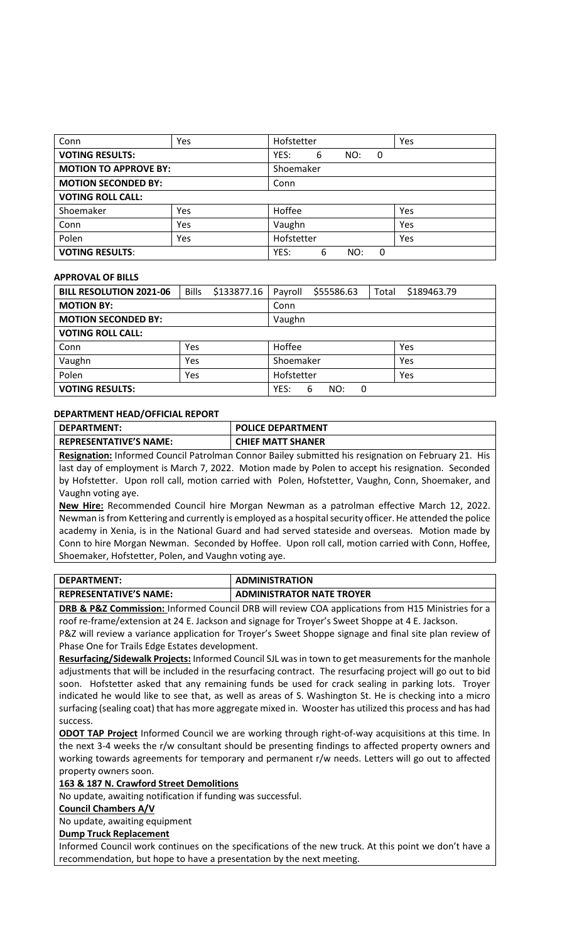| Conn                               | Yes | Hofstetter |   |     |   | Yes |
|------------------------------------|-----|------------|---|-----|---|-----|
| <b>VOTING RESULTS:</b>             |     | YES:       | 6 | NO: | 0 |     |
| <b>MOTION TO APPROVE BY:</b>       |     | Shoemaker  |   |     |   |     |
| <b>MOTION SECONDED BY:</b><br>Conn |     |            |   |     |   |     |
| <b>VOTING ROLL CALL:</b>           |     |            |   |     |   |     |
| Shoemaker                          | Yes | Hoffee     |   |     |   | Yes |
| Conn                               | Yes | Vaughn     |   |     |   | Yes |
| Polen                              | Yes | Hofstetter |   |     |   | Yes |
| <b>VOTING RESULTS:</b>             |     | YES:       | 6 | NO: | 0 |     |

### **APPROVAL OF BILLS**

| <b>BILL RESOLUTION 2021-06</b> | <b>Bills</b> | \$133877.16 | Payroll       | \$55586.63 | Total | \$189463.79 |
|--------------------------------|--------------|-------------|---------------|------------|-------|-------------|
| <b>MOTION BY:</b>              |              |             | Conn          |            |       |             |
| <b>MOTION SECONDED BY:</b>     |              |             | Vaughn        |            |       |             |
| <b>VOTING ROLL CALL:</b>       |              |             |               |            |       |             |
| Conn                           | Yes          |             | Hoffee        |            |       | Yes         |
| Vaughn                         | Yes          |             | Shoemaker     |            |       | Yes         |
| Polen                          | Yes          |             | Hofstetter    |            |       | Yes         |
| <b>VOTING RESULTS:</b>         |              | YES:        | 6<br>NO:<br>0 |            |       |             |

### **DEPARTMENT HEAD/OFFICIAL REPORT**

| <b>DEPARTMENT:</b>            | <b>POLICE DEPARTMENT</b> |
|-------------------------------|--------------------------|
| <b>REPRESENTATIVE'S NAME:</b> | <b>CHIEF MATT SHANER</b> |
|                               |                          |

**Resignation:** Informed Council Patrolman Connor Bailey submitted his resignation on February 21. His last day of employment is March 7, 2022. Motion made by Polen to accept his resignation. Seconded by Hofstetter. Upon roll call, motion carried with Polen, Hofstetter, Vaughn, Conn, Shoemaker, and Vaughn voting aye.

**New Hire:** Recommended Council hire Morgan Newman as a patrolman effective March 12, 2022. Newman is from Kettering and currently is employed as a hospital security officer. He attended the police academy in Xenia, is in the National Guard and had served stateside and overseas. Motion made by Conn to hire Morgan Newman. Seconded by Hoffee. Upon roll call, motion carried with Conn, Hoffee, Shoemaker, Hofstetter, Polen, and Vaughn voting aye.

| DEPARTMENT:                   | <b>ADMINISTRATION</b>                                                                                                                                                                                                           |
|-------------------------------|---------------------------------------------------------------------------------------------------------------------------------------------------------------------------------------------------------------------------------|
| <b>REPRESENTATIVE'S NAME:</b> | <b>ADMINISTRATOR NATE TROYER</b>                                                                                                                                                                                                |
|                               | $\sim$ . The contract of the contract of the contract of the contract of the contract of the contract of the contract of the contract of the contract of the contract of the contract of the contract of the contract of the co |

**DRB & P&Z Commission:** Informed Council DRB will review COA applications from H15 Ministries for a roof re-frame/extension at 24 E. Jackson and signage for Troyer's Sweet Shoppe at 4 E. Jackson.

P&Z will review a variance application for Troyer's Sweet Shoppe signage and final site plan review of Phase One for Trails Edge Estates development.

**Resurfacing/Sidewalk Projects:** Informed Council SJL was in town to get measurements for the manhole adjustments that will be included in the resurfacing contract. The resurfacing project will go out to bid soon. Hofstetter asked that any remaining funds be used for crack sealing in parking lots. Troyer indicated he would like to see that, as well as areas of S. Washington St. He is checking into a micro surfacing (sealing coat) that has more aggregate mixed in. Wooster has utilized this process and has had success.

**ODOT TAP Project** Informed Council we are working through right-of-way acquisitions at this time. In the next 3-4 weeks the r/w consultant should be presenting findings to affected property owners and working towards agreements for temporary and permanent r/w needs. Letters will go out to affected property owners soon.

**163 & 187 N. Crawford Street Demolitions**

No update, awaiting notification if funding was successful.

**Council Chambers A/V**

No update, awaiting equipment

## **Dump Truck Replacement**

Informed Council work continues on the specifications of the new truck. At this point we don't have a recommendation, but hope to have a presentation by the next meeting.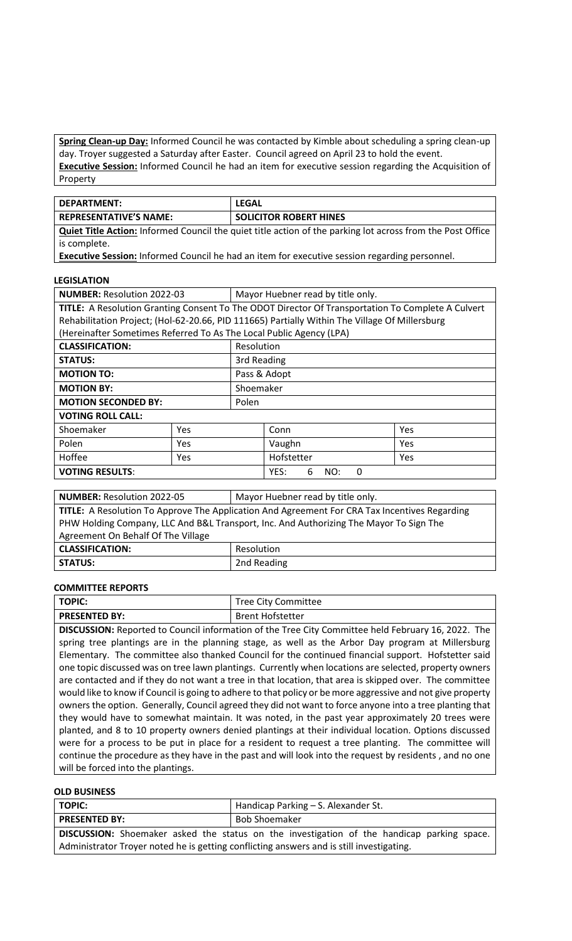**Spring Clean-up Day:** Informed Council he was contacted by Kimble about scheduling a spring clean-up day. Troyer suggested a Saturday after Easter. Council agreed on April 23 to hold the event. **Executive Session:** Informed Council he had an item for executive session regarding the Acquisition of Property

| <b>DEPARTMENT:</b>                                                                                                | LEGAL                         |  |  |
|-------------------------------------------------------------------------------------------------------------------|-------------------------------|--|--|
| <b>REPRESENTATIVE'S NAME:</b>                                                                                     | <b>SOLICITOR ROBERT HINES</b> |  |  |
| <b>Quiet Title Action:</b> Informed Council the quiet title action of the parking lot across from the Post Office |                               |  |  |
| is complete.                                                                                                      |                               |  |  |

**Executive Session:** Informed Council he had an item for executive session regarding personnel.

## **LEGISLATION**

| <b>NUMBER: Resolution 2022-03</b><br>Mayor Huebner read by title only.                            |            |             |              |     |  |
|---------------------------------------------------------------------------------------------------|------------|-------------|--------------|-----|--|
| TITLE: A Resolution Granting Consent To The ODOT Director Of Transportation To Complete A Culvert |            |             |              |     |  |
| Rehabilitation Project; (Hol-62-20.66, PID 111665) Partially Within The Village Of Millersburg    |            |             |              |     |  |
| (Hereinafter Sometimes Referred To As The Local Public Agency (LPA)                               |            |             |              |     |  |
| <b>CLASSIFICATION:</b>                                                                            |            | Resolution  |              |     |  |
| <b>STATUS:</b>                                                                                    |            | 3rd Reading |              |     |  |
| <b>MOTION TO:</b>                                                                                 |            |             | Pass & Adopt |     |  |
| <b>MOTION BY:</b>                                                                                 |            |             | Shoemaker    |     |  |
| <b>MOTION SECONDED BY:</b>                                                                        |            | Polen       |              |     |  |
| <b>VOTING ROLL CALL:</b>                                                                          |            |             |              |     |  |
| Shoemaker                                                                                         | <b>Yes</b> |             | Conn         | Yes |  |
| Polen                                                                                             | Yes        |             | Vaughn       | Yes |  |
| Hoffee<br>Yes                                                                                     |            |             | Hofstetter   | Yes |  |
| <b>VOTING RESULTS:</b><br>YES:<br>NO:<br>6<br><sup>0</sup>                                        |            |             |              |     |  |

| <b>NUMBER: Resolution 2022-05</b>                                                             | Mayor Huebner read by title only. |  |  |  |
|-----------------------------------------------------------------------------------------------|-----------------------------------|--|--|--|
| TITLE: A Resolution To Approve The Application And Agreement For CRA Tax Incentives Regarding |                                   |  |  |  |
| PHW Holding Company, LLC And B&L Transport, Inc. And Authorizing The Mayor To Sign The        |                                   |  |  |  |
| Agreement On Behalf Of The Village                                                            |                                   |  |  |  |
| <b>CLASSIFICATION:</b>                                                                        | Resolution                        |  |  |  |
| <b>STATUS:</b>                                                                                | 2nd Reading                       |  |  |  |

## **COMMITTEE REPORTS**

| <b>TOPIC:</b>                                                                                               | <b>Tree City Committee</b>                                                                              |  |  |  |
|-------------------------------------------------------------------------------------------------------------|---------------------------------------------------------------------------------------------------------|--|--|--|
| <b>PRESENTED BY:</b>                                                                                        | <b>Brent Hofstetter</b>                                                                                 |  |  |  |
| DISCUSSION: Reported to Council information of the Tree City Committee held February 16, 2022. The          |                                                                                                         |  |  |  |
| spring tree plantings are in the planning stage, as well as the Arbor Day program at Millersburg            |                                                                                                         |  |  |  |
| Elementary. The committee also thanked Council for the continued financial support. Hofstetter said         |                                                                                                         |  |  |  |
| one topic discussed was on tree lawn plantings. Currently when locations are selected, property owners      |                                                                                                         |  |  |  |
| are contacted and if they do not want a tree in that location, that area is skipped over. The committee     |                                                                                                         |  |  |  |
| would like to know if Council is going to adhere to that policy or be more aggressive and not give property |                                                                                                         |  |  |  |
| owners the option. Generally, Council agreed they did not want to force anyone into a tree planting that    |                                                                                                         |  |  |  |
| they would have to somewhat maintain. It was noted, in the past year approximately 20 trees were            |                                                                                                         |  |  |  |
| planted, and 8 to 10 property owners denied plantings at their individual location. Options discussed       |                                                                                                         |  |  |  |
| were for a process to be put in place for a resident to request a tree planting. The committee will         |                                                                                                         |  |  |  |
|                                                                                                             | continue the procedure as they have in the past and will look into the request by residents, and no one |  |  |  |
| will be forced into the plantings.                                                                          |                                                                                                         |  |  |  |

# **OLD BUSINESS**

| <b>TOPIC:</b><br>Handicap Parking – S. Alexander St.                                       |                      |  |  |  |  |
|--------------------------------------------------------------------------------------------|----------------------|--|--|--|--|
| <b>PRESENTED BY:</b>                                                                       | <b>Bob Shoemaker</b> |  |  |  |  |
| DISCUSSION: Shoemaker asked the status on the investigation of the handicap parking space. |                      |  |  |  |  |
| Administrator Troyer noted he is getting conflicting answers and is still investigating.   |                      |  |  |  |  |